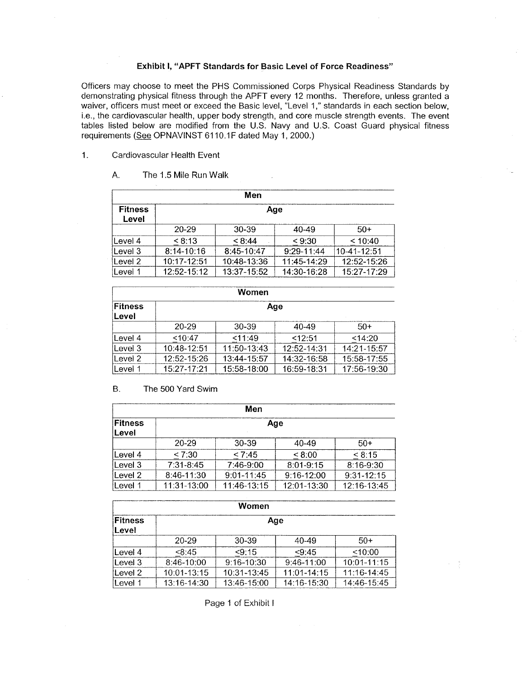### **Exhibit I, "APFT Standards for Basic Level of Force Readiness"**

Officers may choose to meet the PHs Commissioned Corps Physical Readiness Standards by demonstrating physical fitness through the APFT every 12 months. Therefore, unless granted a waiver, officers must meet or exceed the Basic level, "Level 1," standards in each section below, i.e., the cardiovascular health, upper body strength, and core muscle strength events. The event tables listed below are modified from the U.S. Navy and U.S. Coast Guard physical fitness requirements (See OPNAVINST 6110.1F dated May 1, 2000.)

#### 1. Cardiovascular Health Event

#### **A.** The 1.5 Mile Run Walk

|                                | Men            |             |                |             |  |
|--------------------------------|----------------|-------------|----------------|-------------|--|
| <b>Fitness</b><br>Age<br>Level |                |             |                |             |  |
|                                | $20 - 29$      | 30-39       | 40-49          | $50+$       |  |
| Level 4                        | < 8:13         | < 8:44      | < 9:30         | < 10:40     |  |
| Level 3                        | $8:14 - 10:16$ | 8:45-10:47  | $9:29 - 11:44$ | 10-41-12:51 |  |
| Level 2                        | 10:17-12:51    | 10:48-13:36 | $11:45-14:29$  | 12:52-15:26 |  |
| Level 1                        | 12:52-15:12    | 13:37-15:52 | 14:30-16:28    | 15:27-17:29 |  |

| Women                   |             |             |                 |               |
|-------------------------|-------------|-------------|-----------------|---------------|
| Fitness<br><b>Level</b> | Age         |             |                 |               |
|                         | 20-29       | 30-39       | $40-49$         | $50+$         |
| Level 4                 | < 10:47     | < 11:49     | 12:51           | 14:20         |
| Level 3                 | 10:48-12:51 | 11:50-13:43 | $12:52 - 14:31$ | $14:21-15:57$ |
| Level 2                 | 12:52-15:26 | 13:44-15:57 | 14:32-16:58     | 15:58-17:55   |
| lLevel 1                | 15:27-17:21 | 15:58-18:00 | 16:59-18:31     | 17:56-19:30   |

#### B. The 500 Yard Swim

| Men                      |             |                |                |             |
|--------------------------|-------------|----------------|----------------|-------------|
| Fitness<br>Age<br>∣Level |             |                |                |             |
|                          | $20 - 29$   | $30 - 39$      | $40 - 49$      | -50+        |
| Level 4                  | < 7:30      | < 7:45         | < 8:00         | < 8:15      |
| lLevel 3                 | 7:31-8:45   | 7:46-9:00      | 8:01-9:15      | $8:16-9:30$ |
| Level 2                  | 8:46-11:30  | $9:01 - 11:45$ | $9:16 - 12:00$ | 9:31-12:15  |
| ≀Level 1                 | 11:31-13:00 | 11:46-13:15    | 12:01-13:30    | 12:16-13:45 |

| Women                          |             |                |                 |                 |
|--------------------------------|-------------|----------------|-----------------|-----------------|
| Fitness<br>Age<br><b>Level</b> |             |                |                 |                 |
|                                | 20-29       | 30-39          | $40 - 49$       | $50+$           |
| Level 4                        | < 8:45      | < 9:15         | < 9:45          | <10:00          |
| Level 3                        | 8:46-10:00  | $9:16 - 10:30$ | $9:46-11:00$    | $10:01 - 11:15$ |
| Level 2                        | 10:01-13:15 | 10:31-13:45    | $11:01 - 14:15$ | $11:16-14:45$   |
| Level 1                        | 13:16-14:30 | 13:46-15:00    | 14:16-15:30     | 14:46-15:45     |

Page 1 of Exhibit I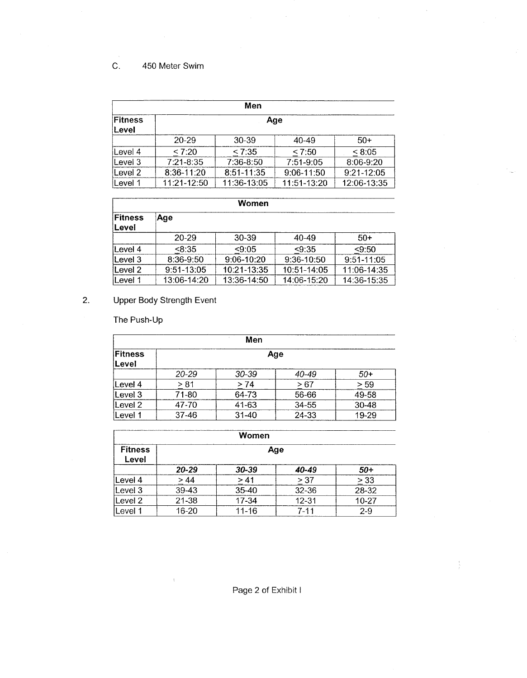## C. 450 Meter Swim

| Men                            |               |             |             |             |
|--------------------------------|---------------|-------------|-------------|-------------|
| Fitness<br>Age<br><b>Level</b> |               |             |             |             |
|                                | 20-29         | $30-39$     | 40-49       | $50+$       |
| Level 4                        | < 7:20        | < 7:35      | < 7:50      | < 8:05      |
| Level 3                        | $7:21 - 8:35$ | $7:36-8:50$ | 7:51-9:05   | 8:06-9:20   |
| Level 2                        | $8:36-11:20$  | 8:51-11:35  | 9:06-11:50  | 9:21-12:05  |
| lLevel 1                       | 11:21-12:50   | 11:36-13:05 | 11:51-13:20 | 12:06-13:35 |

| <b>Women</b>      |             |                |             |             |
|-------------------|-------------|----------------|-------------|-------------|
| Fitness<br>∣Level | Age         |                |             |             |
|                   | $20 - 29$   | 30-39          | $40 - 49$   | $50+$       |
| lLevel 4          | < 8:35      | < 9:05         | < 9:35      | < 9:50      |
| Level 3           | 8:36-9:50   | $9:06 - 10:20$ | 9:36-10:50  | 9:51-11:05  |
| Level 2           | 9:51-13:05  | 10:21-13:35    | 10:51-14:05 | 11:06-14:35 |
| Level 1           | 13:06-14:20 | 13:36-14:50    | 14:06-15:20 | 14:36-15:35 |

# 2. Upper Body Strength Event

 $\epsilon$ 

The Push-Up

|                         | Men       |           |       |           |  |
|-------------------------|-----------|-----------|-------|-----------|--|
| Fitness<br>Age<br>Level |           |           |       |           |  |
|                         | 20-29     | $30 - 39$ | 40-49 | $50+$     |  |
| Level 4                 | > 81      | > 74      | >67   | > 59      |  |
| Level 3                 | 71-80     | 64-73     | 56-66 | 49-58     |  |
| Level 2                 | 47-70     | 41-63     | 34-55 | $30 - 48$ |  |
| ∣Level 1                | $37 - 46$ | $31 - 40$ | 24-33 | 19-29     |  |

| Women                   |           |           |           |           |
|-------------------------|-----------|-----------|-----------|-----------|
| <b>Fitness</b><br>Level |           |           | Age       |           |
|                         | 20-29     | $30 - 39$ | 40-49     | -50       |
| Level 4                 | >44       | > 41      | > 37      | > 33      |
| Level 3                 | 39-43     | $35 - 40$ | 32-36     | 28-32     |
| Level 2                 | $21 - 38$ | 17-34     | $12 - 31$ | $10 - 27$ |
| Level 1                 | $16 - 20$ | 11-16     | 7-11      | $2 - 9$   |

Page 2 of Exhibit I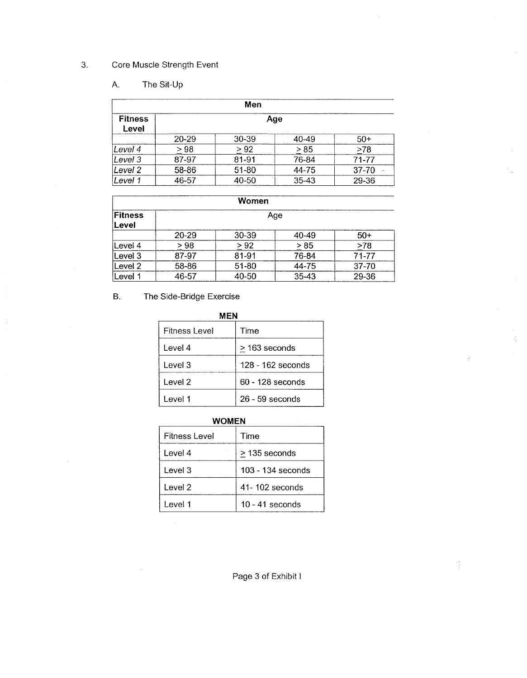## 3. Core Muscle Strength Event

## A. The Sit-Up

| Men                     |           |           |       |           |  |
|-------------------------|-----------|-----------|-------|-----------|--|
| <b>Fitness</b><br>Level |           |           | Age   |           |  |
|                         | $20 - 29$ | $30 - 39$ | 40-49 | $50+$     |  |
| Level 4                 | > 98      | > 92      | > 85  | >78       |  |
| Level 3                 | 87-97     | 81-91     | 76-84 | 71-77     |  |
| Level 2                 | 58-86     | 51-80     | 44-75 | $37 - 70$ |  |
| Level 1                 | 46-57     | 40-50     | 35-43 | 29-36     |  |

|                  | Women     |           |           |           |  |
|------------------|-----------|-----------|-----------|-----------|--|
| Fitness<br>Level | Age       |           |           |           |  |
|                  | $20 - 29$ | 30-39     | 40-49     | $50+$     |  |
| lLevel 4         | >98       | > 92      | > 85      | >78       |  |
| Level 3          | 87-97     | 81-91     | 76-84     | 71-77     |  |
| Level 2          | 58-86     | $51 - 80$ | 44-75     | $37 - 70$ |  |
| Level 1          | 46-57     | 40-50     | $35 - 43$ | 29-36     |  |

ć,

 $\frac{1}{2}$ 

### B. The Side-Bridge Exercise

÷.

| MFN                  |                    |  |
|----------------------|--------------------|--|
| <b>Fitness Level</b> | Time               |  |
| Level 4              | > 163 seconds      |  |
| Level 3              | 128 - 162 seconds  |  |
| Level 2              | $60 - 128$ seconds |  |
| Level 1              | $26 - 59$ seconds  |  |

## **WOMEN**

| Fitness Level | Time                |
|---------------|---------------------|
| Level 4       | > 135 seconds       |
| Level 3       | $103 - 134$ seconds |
| Level 2       | $41 - 102$ seconds  |
| Level 1       | $10 - 41$ seconds   |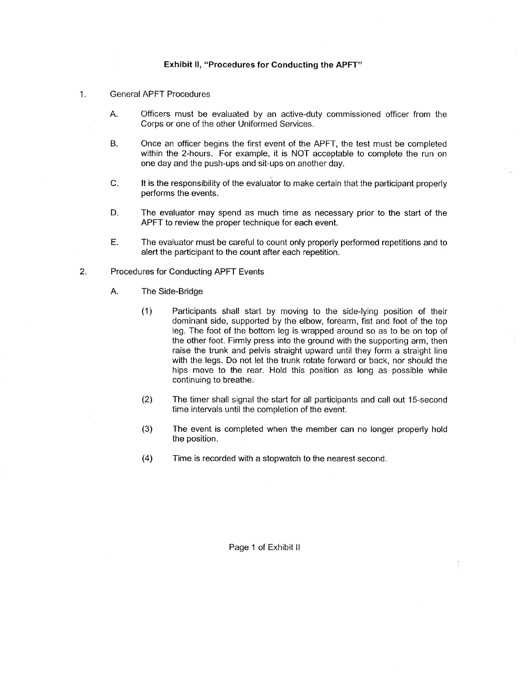#### **Exhibit 11, "Procedures for Conducting the APFT"**

#### 1. General APFT Procedures

- A. Officers must be evaluated by an active-duty commissioned officer from the Corps or one of the other Uniformed Services.
- B. Once an officer begins the first event of the APFT, the test must be completed within the 2-hours. For example, it is NOT acceptable to complete the run on one day and the push-ups and sit-ups on another day.
- C. It is the responsibility of the evaluator to make certain that the participant properly performs the events.
- **D.** The evaluator may spend as much time as necessary prior to the start of the APFT to review the proper technique for each event.
- E. The evaluator must be careful to count only properly performed repetitions and to alert the participant to the count after each repetition.
- 2. Procedures for Conducting APFT Events
	- A. The Side-Bridge
		- (1 Participants shall start by moving to the side-lying position of their dominant side, supported by the elbow, forearm, fist and foot of the top leg. The foot of the bottom leg is wrapped around so as to be on top of the other foot. Firmly press into the ground with the supporting arm, then raise the trunk and pelvis straight upward until they form a straight line with the legs. Do not let the trunk rotate forward or back, nor should the hips move to the rear. Hold this position as long as possible while continuing to breathe.
		- (2) The timer shall signal the start for all participants and call out 15-second time intervals until the completion of the event.
		- **(3)** The event is completed when the member can no longer properly hold the position.
		- **(4)** Time is recorded with a stopwatch to the nearest second.

Page 1 of Exhibit II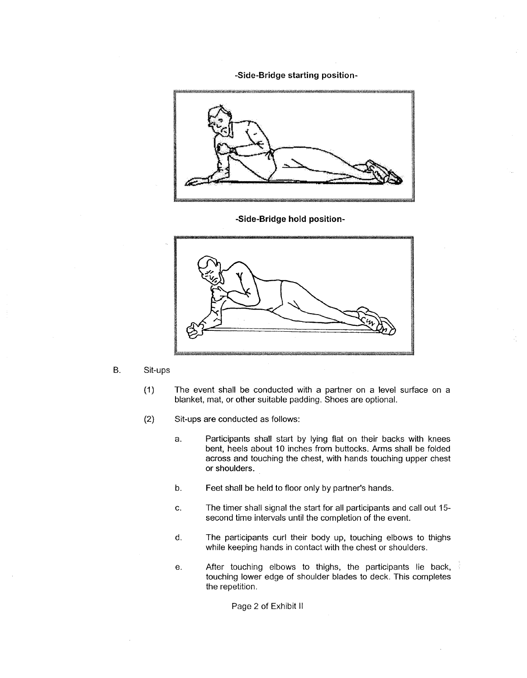-Side-Bridge starting position-



-Side-Bridge hold position-



- B. Sit-ups
	- (1) The event shall be conducted with a partner on a level surface on a blanket, mat, or other suitable padding. Shoes are optional.
	- (2) Sit-ups are conducted as follows:
		- a. Participants shall start by lying flat on their backs with knees bent, heels about 10 inches from buttocks. Arms shall be folded across and touching the chest, with hands touching upper chest or shoulders.
		- b. Feet shall be held to floor only by partner's hands.
		- **C.** The timer shall signal the start for all participants and call out 15 second time intervals until the completion of the event.
		- d. The participants curl their body up, touching elbows to thighs while keeping hands in contact with the chest or shoulders.
		- e. After touching elbows to thighs, the participants lie back, touching lower edge of shoulder blades to deck. This completes the repetition.

Page 2 of Exhibit II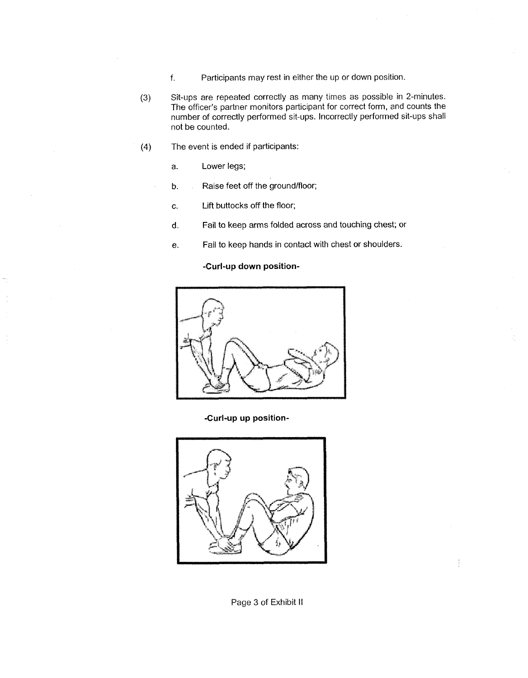- f. Participants may rest in either the up or down position.
- **(3)** Sit-ups are repeated correctly as many times as possible in 2-minutes. The officer's partner monitors participant for correct form, and counts the number of correctly performed sit-ups. incorrectly performed sit-ups shall not be counted.
- **(4)** The event is ended if participants:
	- a. Lower legs;
	- b. Raise feet off the ground/floor;
	- c. Lift buttocks off the floor;
	- **d.** Fail to keep arms folded across and touching chest; or
	- e. Fail to keep hands in contact with chest or shoulders.

**-Curl-up down position-** 



**-Curl-up up position-**



Page 3 of Exhibit II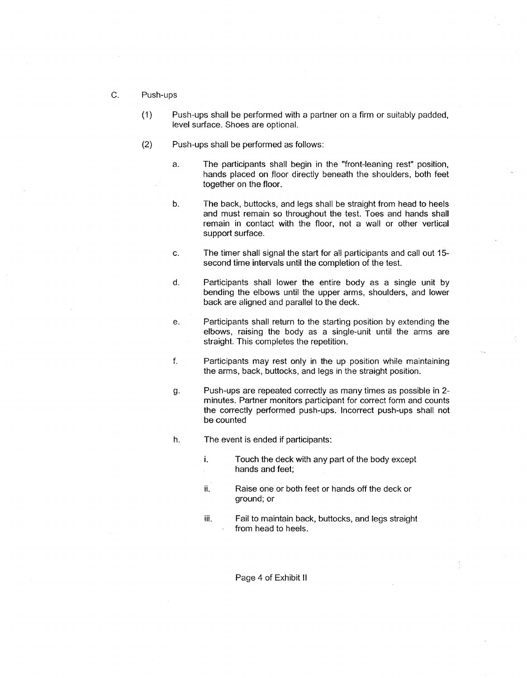- $\overline{C}$ . Push-ups
	- (1) Push-ups shall be performed with a partner on a firm or suitably padded, level surface. Shoes are optional.
	- (2) Push-ups shall be performed as follows:
		- a. The participants shall begin in the "front-leaning rest" position, hands placed on floor directly beneath the shoulders, both feet together on the floor.
		- **b.** The back, buttocks, and legs shall be straight from head to heels and must remain so throughout the test. Toes and hands shall remain in contact with the floor, not a wall or other vertical support surface.
		- c. The timer shall signal the start for all participants and call out 15 second time intervals until the completion of the test.
		- d. Participants shall lower the entire body as a single unit by bending the elbows until the upper arms, shoulders, and lower back are aligned and parallel to the deck.
		- e. Participants shall return to the starting position by extending the elbows, raising the body as a single-unit until the arms are straight. This completes the repetition.
		- **f.** Participants may rest only in the up position while maintaining the arms, back, buttocks, and legs in the straight position.
		- g. Push-ups are repeated correctly as many times as possible in 2 minutes. Partner monitors participant for correct form and counts the correctly performed push-ups. Incorrect push-ups shall not be counted
		- h. The event is ended if participants:
			- **I.** Touch the deck with any part of the body except hands and feet;
			- ii. Raise one or both feet or hands off the deck or ground; or
			- iii. Fail to maintain back, buttocks, and legs straight from head to heels.

Page 4 of Exhibit II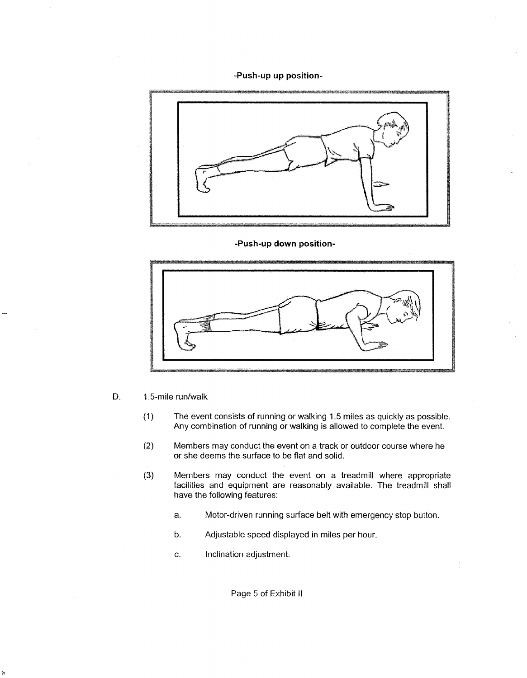**-Push-up up position-** 



**-Push-up down position-** 



- D. 1.5-mile run/walk
	- (1) The event consists of running or walking 1.5 miles as quickly as possible. Any combination of running or walking is allowed to complete the event.
	- (2) Members may conduct the event on a track or outdoor course where he or she deems the surface to be flat and solid.
	- **(3)** Members may conduct the event on a treadmill where appropriate facilities and equipment are reasonably available. The treadmill shall have the following features:
		- a. Motor-driven running surface belt with emergency stop button.
		- b. Adjustable speed displayed in miles per hour
		- c. Inclination adjustment.

Page 5 of Exhibit II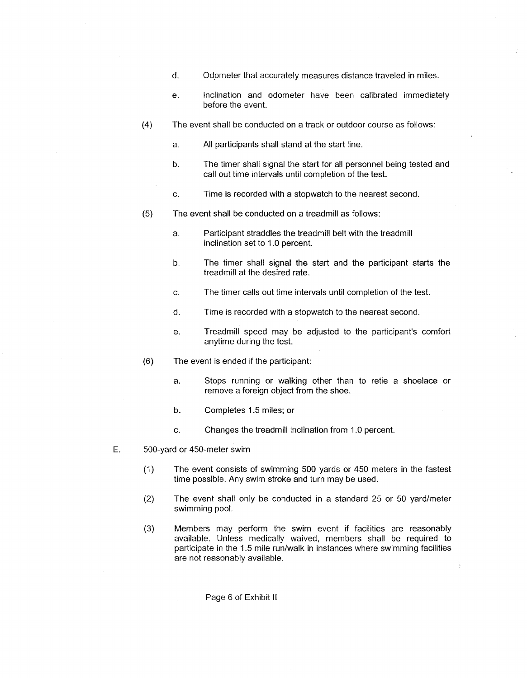- d. Odometer that accurately measures distance traveled in miles.
- e. Inclination and odometer have been calibrated immediately before the event.
- (4) The event shall be conducted on a track or outdoor course as follows:
	- a. All participants shall stand at the start line.
	- b. The timer shall signal the start for all personnel being tested and call out time interyals until completion of the test.
	- c. Time is recorded with a stopwatch to the nearest second
- (5) The event shall be conducted on a treadmill as follows:
	- a. Participant straddles the treadmill belt with the treadmill inclination set to 1.0 percent.
	- **b.** The timer shall signal the start and the participant starts the treadmill at the desired rate.
	- c. The timer calls out time intervals until completion of the test.
	- d. Time is recorded with a stopwatch to the nearest second.
	- e. Treadmill speed may be adjusted to the participant's comfort anytime during the test.
- (6) The event is ended if the participant:
	- a. Stops running or walking other than to retie a shoelace or remove a foreign object from the shoe.
	- b. Completes 1.5 miles; or
	- c. Changes the treadmill inclination from 1.0 percent.
- E. 500-yard or 450-meter swim
	- (1) The event consists of swimming 500 yards or 450 meters in the fastest time possible. Any swim stroke and turn may be used.
	- (2) The event shall only be conducted in a standard 25 or 50 yardlmeter swimming pool.
	- (3) Members may perform the swim event if facilities are reasonably available. Unless medically waived, members shall be required to participate in the 1.5 mile run/walk in instances where swimming facilities are not reasonably available.

Page 6 of Exhibit I1